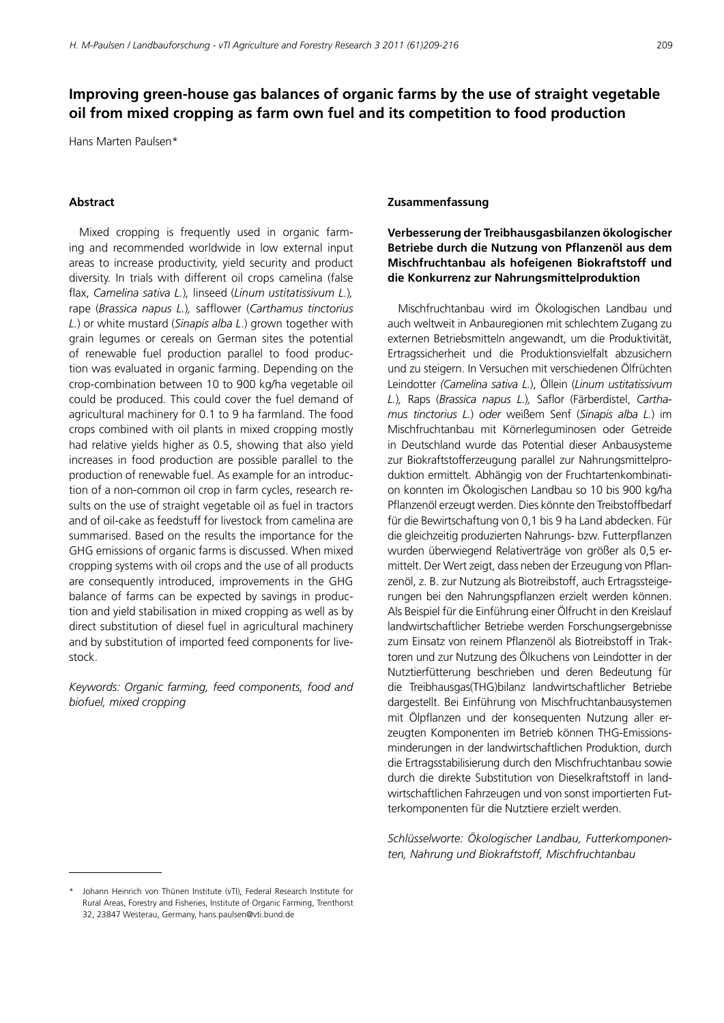# **Improving green-house gas balances of organic farms by the use of straight vegetable oil from mixed cropping as farm own fuel and its competition to food production**

Hans Marten Paulsen\*

## **Abstract**

Mixed cropping is frequently used in organic farming and recommended worldwide in low external input areas to increase productivity, yield security and product diversity. In trials with different oil crops camelina (false flax, *Camelina sativa L.*), linseed (*Linum ustitatissivum L.*), rape (*Brassica napus L.*)*,* safflower (*Carthamus tinctorius L.*) or white mustard (*Sinapis alba L.*) grown together with grain legumes or cereals on German sites the potential of renewable fuel production parallel to food production was evaluated in organic farming. Depending on the crop-combination between 10 to 900 kg/ha vegetable oil could be produced. This could cover the fuel demand of agricultural machinery for 0.1 to 9 ha farmland. The food crops combined with oil plants in mixed cropping mostly had relative yields higher as 0.5, showing that also yield increases in food production are possible parallel to the production of renewable fuel. As example for an introduction of a non-common oil crop in farm cycles, research results on the use of straight vegetable oil as fuel in tractors and of oil-cake as feedstuff for livestock from camelina are summarised. Based on the results the importance for the GHG emissions of organic farms is discussed. When mixed cropping systems with oil crops and the use of all products are consequently introduced, improvements in the GHG balance of farms can be expected by savings in production and yield stabilisation in mixed cropping as well as by direct substitution of diesel fuel in agricultural machinery and by substitution of imported feed components for livestock.

*Keywords: Organic farming, feed components, food and biofuel, mixed cropping*

### **Zusammenfassung**

## **Verbesserung der Treibhausgasbilanzen ökologischer Betriebe durch die Nutzung von Pflanzenöl aus dem Mischfruchtanbau als hofeigenen Biokraftstoff und die Konkurrenz zur Nahrungsmittelproduktion**

Mischfruchtanbau wird im Ökologischen Landbau und auch weltweit in Anbauregionen mit schlechtem Zugang zu externen Betriebsmitteln angewandt, um die Produktivität, Ertragssicherheit und die Produktionsvielfalt abzusichern und zu steigern. In Versuchen mit verschiedenen Ölfrüchten Leindotter *(Camelina sativa L.*), Öllein (*Linum ustitatissivum L.*)*,* Raps (*Brassica napus L.*)*,* Saflor (Färberdistel, *Carthamus tinctorius L.*) *oder* weißem Senf (*Sinapis alba L.*) im Mischfruchtanbau mit Körnerleguminosen oder Getreide in Deutschland wurde das Potential dieser Anbausysteme zur Biokraftstofferzeugung parallel zur Nahrungsmittelproduktion ermittelt. Abhängig von der Fruchtartenkombination konnten im Ökologischen Landbau so 10 bis 900 kg/ha Pflanzenöl erzeugt werden. Dies könnte den Treibstoffbedarf für die Bewirtschaftung von 0,1 bis 9 ha Land abdecken. Für die gleichzeitig produzierten Nahrungs- bzw. Futterpflanzen wurden überwiegend Relativerträge von größer als 0,5 ermittelt. Der Wert zeigt, dass neben der Erzeugung von Pflanzenöl, z. B. zur Nutzung als Biotreibstoff, auch Ertragssteigerungen bei den Nahrungspflanzen erzielt werden können. Als Beispiel für die Einführung einer Ölfrucht in den Kreislauf landwirtschaftlicher Betriebe werden Forschungsergebnisse zum Einsatz von reinem Pflanzenöl als Biotreibstoff in Traktoren und zur Nutzung des Ölkuchens von Leindotter in der Nutztierfütterung beschrieben und deren Bedeutung für die Treibhausgas(THG)bilanz landwirtschaftlicher Betriebe dargestellt. Bei Einführung von Mischfruchtanbausystemen mit Ölpflanzen und der konsequenten Nutzung aller erzeugten Komponenten im Betrieb können THG-Emissionsminderungen in der landwirtschaftlichen Produktion, durch die Ertragsstabilisierung durch den Mischfruchtanbau sowie durch die direkte Substitution von Dieselkraftstoff in landwirtschaftlichen Fahrzeugen und von sonst importierten Futterkomponenten für die Nutztiere erzielt werden.

*Schlüsselworte: Ökologischer Landbau, Futterkomponenten, Nahrung und Biokraftstoff, Mischfruchtanbau*

<sup>\*\*</sup> Johann Heinrich von Thünen Institute (vTI), Federal Research Institute for Rural Areas, Forestry and Fisheries, Institute of Organic Farming, Trenthorst 32, 23847 Westerau, Germany, [hans.paulsen@vti.bund.de](mailto:hans.paulsen@vti.bund.de)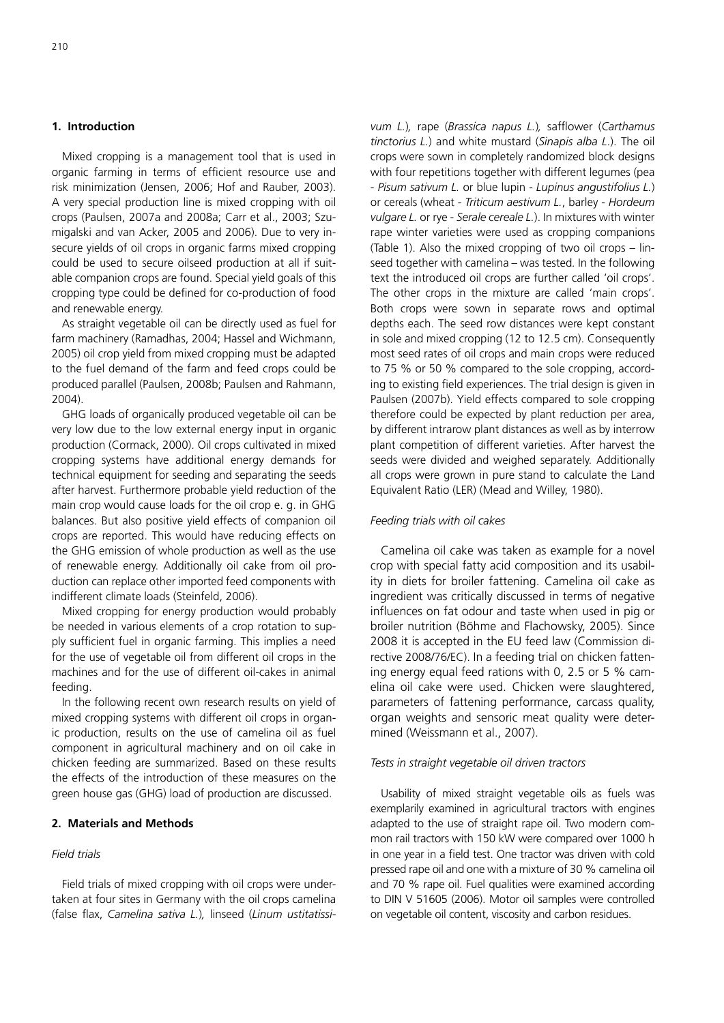## **1. Introduction**

Mixed cropping is a management tool that is used in organic farming in terms of efficient resource use and risk minimization (Jensen, 2006; Hof and Rauber, 2003). A very special production line is mixed cropping with oil crops (Paulsen, 2007a and 2008a; Carr et al., 2003; Szumigalski and van Acker, 2005 and 2006). Due to very insecure yields of oil crops in organic farms mixed cropping could be used to secure oilseed production at all if suitable companion crops are found. Special yield goals of this cropping type could be defined for co-production of food and renewable energy.

As straight vegetable oil can be directly used as fuel for farm machinery (Ramadhas, 2004; Hassel and Wichmann, 2005) oil crop yield from mixed cropping must be adapted to the fuel demand of the farm and feed crops could be produced parallel (Paulsen, 2008b; Paulsen and Rahmann, 2004).

GHG loads of organically produced vegetable oil can be very low due to the low external energy input in organic production (Cormack, 2000). Oil crops cultivated in mixed cropping systems have additional energy demands for technical equipment for seeding and separating the seeds after harvest. Furthermore probable yield reduction of the main crop would cause loads for the oil crop e. g. in GHG balances. But also positive yield effects of companion oil crops are reported. This would have reducing effects on the GHG emission of whole production as well as the use of renewable energy. Additionally oil cake from oil production can replace other imported feed components with indifferent climate loads (Steinfeld, 2006).

Mixed cropping for energy production would probably be needed in various elements of a crop rotation to supply sufficient fuel in organic farming. This implies a need for the use of vegetable oil from different oil crops in the machines and for the use of different oil-cakes in animal feeding.

In the following recent own research results on yield of mixed cropping systems with different oil crops in organic production, results on the use of camelina oil as fuel component in agricultural machinery and on oil cake in chicken feeding are summarized. Based on these results the effects of the introduction of these measures on the green house gas (GHG) load of production are discussed.

## **2. Materials and Methods**

## *Field trials*

Field trials of mixed cropping with oil crops were undertaken at four sites in Germany with the oil crops camelina (false flax, *Camelina sativa L.*)*,* linseed (*Linum ustitatissi-* *vum L.*)*,* rape (*Brassica napus L.*)*,* safflower (*Carthamus tinctorius L.*) and white mustard (*Sinapis alba L*.). The oil crops were sown in completely randomized block designs with four repetitions together with different legumes (pea - *Pisum sativum L.* or blue lupin - *Lupinus angustifolius L.*) or cereals (wheat - *Triticum aestivum L.*, barley - *Hordeum vulgare L.* or rye - *Serale cereale L.*). In mixtures with winter rape winter varieties were used as cropping companions (Table 1). Also the mixed cropping of two oil crops – linseed together with camelina – was tested*.* In the following text the introduced oil crops are further called 'oil crops'. The other crops in the mixture are called 'main crops'. Both crops were sown in separate rows and optimal depths each. The seed row distances were kept constant in sole and mixed cropping (12 to 12.5 cm). Consequently most seed rates of oil crops and main crops were reduced to 75 % or 50 % compared to the sole cropping, according to existing field experiences. The trial design is given in Paulsen (2007b). Yield effects compared to sole cropping therefore could be expected by plant reduction per area, by different intrarow plant distances as well as by interrow plant competition of different varieties. After harvest the seeds were divided and weighed separately. Additionally all crops were grown in pure stand to calculate the Land Equivalent Ratio (LER) (Mead and Willey, 1980).

### *Feeding trials with oil cakes*

Camelina oil cake was taken as example for a novel crop with special fatty acid composition and its usability in diets for broiler fattening. Camelina oil cake as ingredient was critically discussed in terms of negative influences on fat odour and taste when used in pig or broiler nutrition (Böhme and Flachowsky, 2005). Since 2008 it is accepted in the EU feed law (Commission directive 2008/76/EC). In a feeding trial on chicken fattening energy equal feed rations with 0, 2.5 or 5  $%$  camelina oil cake were used. Chicken were slaughtered, parameters of fattening performance, carcass quality, organ weights and sensoric meat quality were determined (Weissmann et al., 2007).

### *Tests in straight vegetable oil driven tractors*

Usability of mixed straight vegetable oils as fuels was exemplarily examined in agricultural tractors with engines adapted to the use of straight rape oil. Two modern common rail tractors with 150 kW were compared over 1000 h in one year in a field test. One tractor was driven with cold pressed rape oil and one with a mixture of 30 % camelina oil and 70 % rape oil. Fuel qualities were examined according to DIN V 51605 (2006). Motor oil samples were controlled on vegetable oil content, viscosity and carbon residues.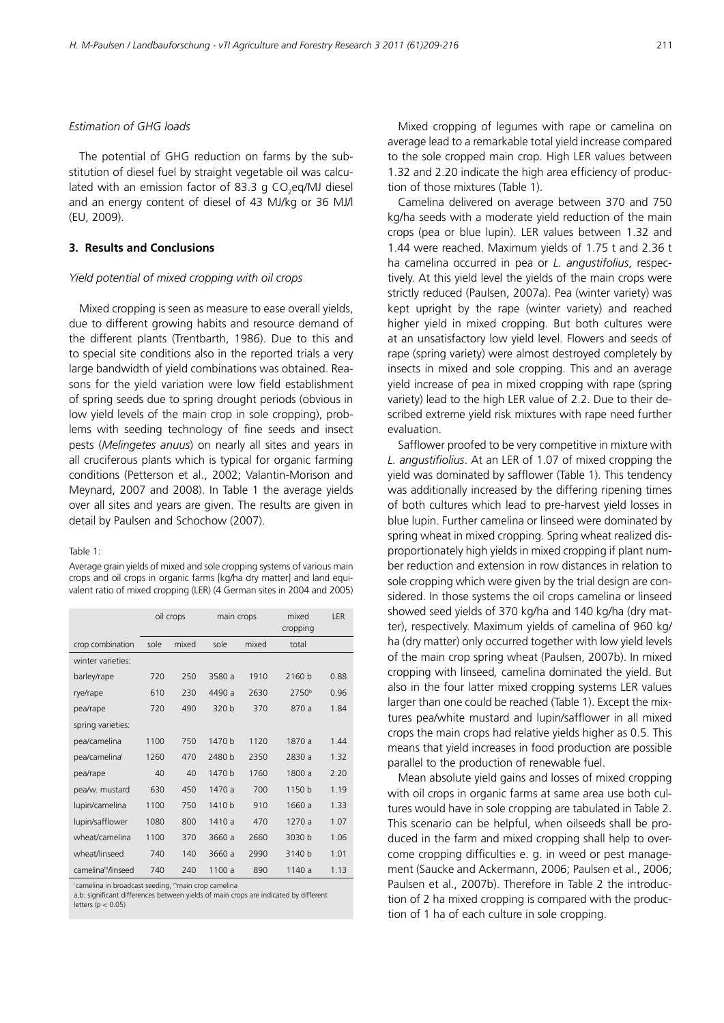## *Estimation of GHG loads*

The potential of GHG reduction on farms by the substitution of diesel fuel by straight vegetable oil was calculated with an emission factor of 83.3 g CO $_2$ eq/MJ diesel and an energy content of diesel of 43 MJ/kg or 36 MJ/l (EU, 2009).

## **3. Results and Conclusions**

#### *Yield potential of mixed cropping with oil crops*

Mixed cropping is seen as measure to ease overall yields, due to different growing habits and resource demand of the different plants (Trentbarth, 1986). Due to this and to special site conditions also in the reported trials a very large bandwidth of yield combinations was obtained. Reasons for the yield variation were low field establishment of spring seeds due to spring drought periods (obvious in low yield levels of the main crop in sole cropping), problems with seeding technology of fine seeds and insect pests (*Melingetes anuus*) on nearly all sites and years in all cruciferous plants which is typical for organic farming conditions (Petterson et al., 2002; Valantin-Morison and Meynard, 2007 and 2008). In Table 1 the average yields over all sites and years are given. The results are given in detail by Paulsen and Schochow (2007).

#### Table 1:

Average grain yields of mixed and sole cropping systems of various main crops and oil crops in organic farms [kg/ha dry matter] and land equivalent ratio of mixed cropping (LER) (4 German sites in 2004 and 2005)

|                                | oil crops |       | main crops |       | mixed<br>cropping | LER  |
|--------------------------------|-----------|-------|------------|-------|-------------------|------|
| crop combination               | sole      | mixed | sole       | mixed | total             |      |
| winter varieties:              |           |       |            |       |                   |      |
| barley/rape                    | 720       | 250   | 3580 a     | 1910  | 2160 b            | 0.88 |
| rye/rape                       | 610       | 230   | 4490 a     | 2630  | 2750 <sup>b</sup> | 0.96 |
| pea/rape                       | 720       | 490   | 320 b      | 370   | 870 a             | 1.84 |
| spring varieties:              |           |       |            |       |                   |      |
| pea/camelina                   | 1100      | 750   | 1470 b     | 1120  | 1870 a            | 1.44 |
| pea/camelinal                  | 1260      | 470   | 2480 b     | 2350  | 2830 a            | 1.32 |
| pea/rape                       | 40        | 40    | 1470 b     | 1760  | 1800 a            | 2.20 |
| pea/w. mustard                 | 630       | 450   | 1470 a     | 700   | 1150 b            | 1.19 |
| lupin/camelina                 | 1100      | 750   | 1410 b     | 910   | 1660 a            | 1.33 |
| lupin/safflower                | 1080      | 800   | 1410 a     | 470   | 1270 a            | 1.07 |
| wheat/camelina                 | 1100      | 370   | 3660 a     | 2660  | 3030 b            | 1.06 |
| wheat/linseed                  | 740       | 140   | 3660 a     | 2990  | 3140 b            | 1.01 |
| camelina <sup>m</sup> /linseed | 740       | 240   | 1100 a     | 890   | 1140 a            | 1.13 |

I camelina in broadcast seeding, mmain crop camelina

a,b: significant differences between yields of main crops are indicated by different letters  $(n < 0.05)$ 

Mixed cropping of legumes with rape or camelina on average lead to a remarkable total yield increase compared to the sole cropped main crop. High LER values between 1.32 and 2.20 indicate the high area efficiency of production of those mixtures (Table 1).

Camelina delivered on average between 370 and 750 kg/ha seeds with a moderate yield reduction of the main crops (pea or blue lupin). LER values between 1.32 and 1.44 were reached. Maximum yields of 1.75 t and 2.36 t ha camelina occurred in pea or *L. angustifolius*, respectively. At this yield level the yields of the main crops were strictly reduced (Paulsen, 2007a). Pea (winter variety) was kept upright by the rape (winter variety) and reached higher yield in mixed cropping. But both cultures were at an unsatisfactory low yield level. Flowers and seeds of rape (spring variety) were almost destroyed completely by insects in mixed and sole cropping. This and an average yield increase of pea in mixed cropping with rape (spring variety) lead to the high LER value of 2.2. Due to their described extreme yield risk mixtures with rape need further evaluation.

Safflower proofed to be very competitive in mixture with *L. angustifiolius*. At an LER of 1.07 of mixed cropping the yield was dominated by safflower (Table 1). This tendency was additionally increased by the differing ripening times of both cultures which lead to pre-harvest yield losses in blue lupin. Further camelina or linseed were dominated by spring wheat in mixed cropping. Spring wheat realized disproportionately high yields in mixed cropping if plant number reduction and extension in row distances in relation to sole cropping which were given by the trial design are considered. In those systems the oil crops camelina or linseed showed seed yields of 370 kg/ha and 140 kg/ha (dry matter), respectively. Maximum yields of camelina of 960 kg/ ha (dry matter) only occurred together with low yield levels of the main crop spring wheat (Paulsen, 2007b). In mixed cropping with linseed*,* camelina dominated the yield. But also in the four latter mixed cropping systems LER values larger than one could be reached (Table 1). Except the mixtures pea/white mustard and lupin/safflower in all mixed crops the main crops had relative yields higher as 0.5. This means that yield increases in food production are possible parallel to the production of renewable fuel.

Mean absolute yield gains and losses of mixed cropping with oil crops in organic farms at same area use both cultures would have in sole cropping are tabulated in Table 2. This scenario can be helpful, when oilseeds shall be produced in the farm and mixed cropping shall help to overcome cropping difficulties e. g. in weed or pest management (Saucke and Ackermann, 2006; Paulsen et al., 2006; Paulsen et al., 2007b). Therefore in Table 2 the introduction of 2 ha mixed cropping is compared with the production of 1 ha of each culture in sole cropping.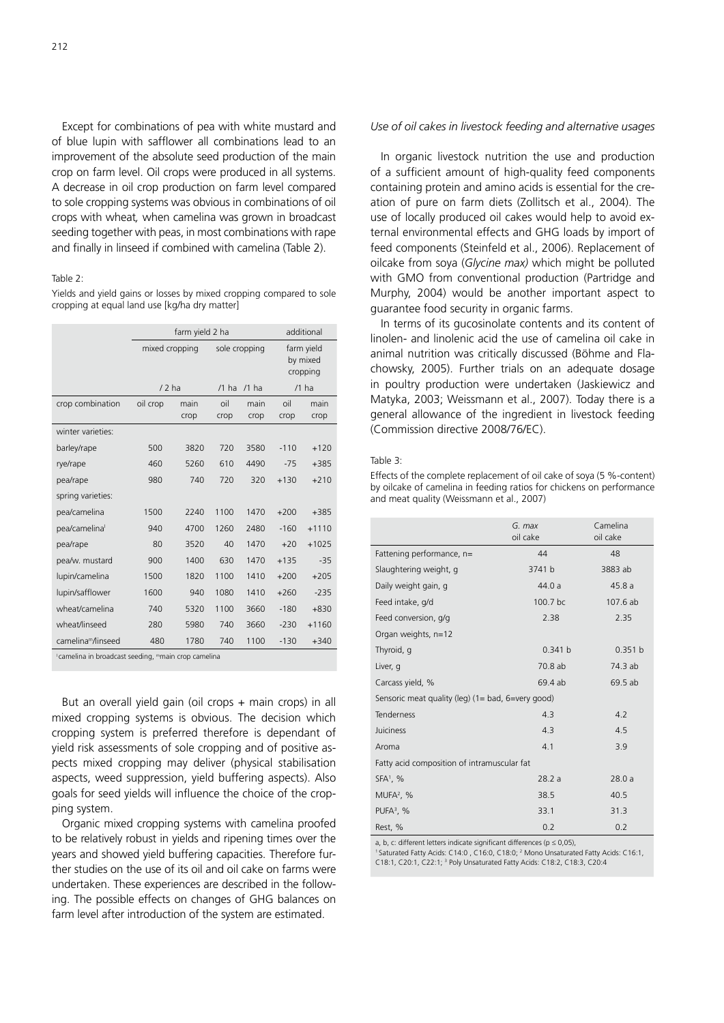Except for combinations of pea with white mustard and of blue lupin with safflower all combinations lead to an improvement of the absolute seed production of the main crop on farm level. Oil crops were produced in all systems. A decrease in oil crop production on farm level compared to sole cropping systems was obvious in combinations of oil crops with wheat*,* when camelina was grown in broadcast seeding together with peas, in most combinations with rape and finally in linseed if combined with camelina (Table 2).

#### Table 2:

Yields and vield gains or losses by mixed cropping compared to sole cropping at equal land use [kg/ha dry matter]

|                                |                | additional   |                    |              |                                    |              |
|--------------------------------|----------------|--------------|--------------------|--------------|------------------------------------|--------------|
|                                | mixed cropping |              | sole cropping      |              | farm yield<br>by mixed<br>cropping |              |
|                                | $/2$ ha        |              | $/1$ ha<br>$/1$ ha |              | $/1$ ha                            |              |
| crop combination               | oil crop       | main<br>crop | oil<br>crop        | main<br>crop | oil<br>crop                        | main<br>crop |
| winter varieties:              |                |              |                    |              |                                    |              |
| barley/rape                    | 500            | 3820         | 720                | 3580         | $-110$                             | $+120$       |
| rye/rape                       | 460            | 5260         | 610                | 4490         | $-75$                              | $+385$       |
| pea/rape                       | 980            | 740          | 720                | 320          | $+130$                             | $+210$       |
| spring varieties:              |                |              |                    |              |                                    |              |
| pea/camelina                   | 1500           | 2240         | 1100               | 1470         | $+200$                             | $+385$       |
| pea/camelinal                  | 940            | 4700         | 1260               | 2480         | $-160$                             | $+1110$      |
| pea/rape                       | 80             | 3520         | 40                 | 1470         | $+20$                              | $+1025$      |
| pea/w. mustard                 | 900            | 1400         | 630                | 1470         | $+135$                             | $-35$        |
| lupin/camelina                 | 1500           | 1820         | 1100               | 1410         | $+200$                             | $+205$       |
| lupin/safflower                | 1600           | 940          | 1080               | 1410         | $+260$                             | $-235$       |
| wheat/camelina                 | 740            | 5320         | 1100               | 3660         | $-180$                             | $+830$       |
| wheat/linseed                  | 280            | 5980         | 740                | 3660         | $-230$                             | $+1160$      |
| camelina <sup>m</sup> /linseed | 480            | 1780         | 740                | 1100         | $-130$                             | $+340$       |

I camelina in broadcast seeding, mmain crop camelina

But an overall yield gain (oil crops + main crops) in all mixed cropping systems is obvious. The decision which cropping system is preferred therefore is dependant of yield risk assessments of sole cropping and of positive aspects mixed cropping may deliver (physical stabilisation aspects, weed suppression, yield buffering aspects). Also goals for seed yields will influence the choice of the cropping system.

Organic mixed cropping systems with camelina proofed to be relatively robust in yields and ripening times over the years and showed yield buffering capacities. Therefore further studies on the use of its oil and oil cake on farms were undertaken. These experiences are described in the following. The possible effects on changes of GHG balances on farm level after introduction of the system are estimated.

### *Use of oil cakes in livestock feeding and alternative usages*

In organic livestock nutrition the use and production of a sufficient amount of high-quality feed components containing protein and amino acids is essential for the creation of pure on farm diets (Zollitsch et al., 2004). The use of locally produced oil cakes would help to avoid external environmental effects and GHG loads by import of feed components (Steinfeld et al., 2006). Replacement of oilcake from soya (*Glycine max)* which might be polluted with GMO from conventional production (Partridge and Murphy, 2004) would be another important aspect to guarantee food security in organic farms.

In terms of its gucosinolate contents and its content of linolen- and linolenic acid the use of camelina oil cake in animal nutrition was critically discussed (Böhme and Flachowsky, 2005). Further trials on an adequate dosage in poultry production were undertaken (Jaskiewicz and Matyka, 2003; Weissmann et al., 2007). Today there is a general allowance of the ingredient in livestock feeding (Commission directive 2008/76/EC).

#### Table 3:

Effects of the complete replacement of oil cake of soya (5 %-content) by oilcake of camelina in feeding ratios for chickens on performance and meat quality (Weissmann et al., 2007)

|                                                        | G. max<br>oil cake | Camelina<br>oil cake |  |  |  |
|--------------------------------------------------------|--------------------|----------------------|--|--|--|
| Fattening performance, n=                              | 44                 | 48                   |  |  |  |
| Slaughtering weight, g                                 | 3741 b             | 3883 ab              |  |  |  |
| Daily weight gain, g                                   | 44.0 a             | 45.8a                |  |  |  |
| Feed intake, g/d                                       | 100.7 bc           | 107.6 ab             |  |  |  |
| Feed conversion, g/g                                   | 2.38               | 2.35                 |  |  |  |
| Organ weights, n=12                                    |                    |                      |  |  |  |
| Thyroid, q                                             | 0.341 b            | 0.351 b              |  |  |  |
| Liver, q                                               | 70.8 ab            | 74.3 ab              |  |  |  |
| Carcass yield, %                                       | 69.4 ab            | 69.5 ab              |  |  |  |
| Sensoric meat quality (leg) $(1 = bad, 6 = very good)$ |                    |                      |  |  |  |
| Tenderness                                             | 4.3                | 4.2                  |  |  |  |
| Juiciness                                              | 4.3                | 4.5                  |  |  |  |
| Aroma                                                  | 4.1                | 3.9                  |  |  |  |
| Fatty acid composition of intramuscular fat            |                    |                      |  |  |  |
| $SFA1$ , %                                             | 28.2a              | 28.0a                |  |  |  |
| MUFA <sup>2</sup> , %                                  | 38.5               | 40.5                 |  |  |  |
| PUFA <sup>3</sup> , %                                  | 33.1               | 31.3                 |  |  |  |
| Rest, %                                                | 0.2                | 0.2                  |  |  |  |

a, b, c: different letters indicate significant differences ( $p \le 0.05$ ),

Saturated Fatty Acids: C14:0, C16:0, C18:0; <sup>2</sup> Mono Unsaturated Fatty Acids: C16:1, C18:1, C20:1, C22:1; <sup>3</sup> Poly Unsaturated Fatty Acids: C18:2, C18:3, C20:4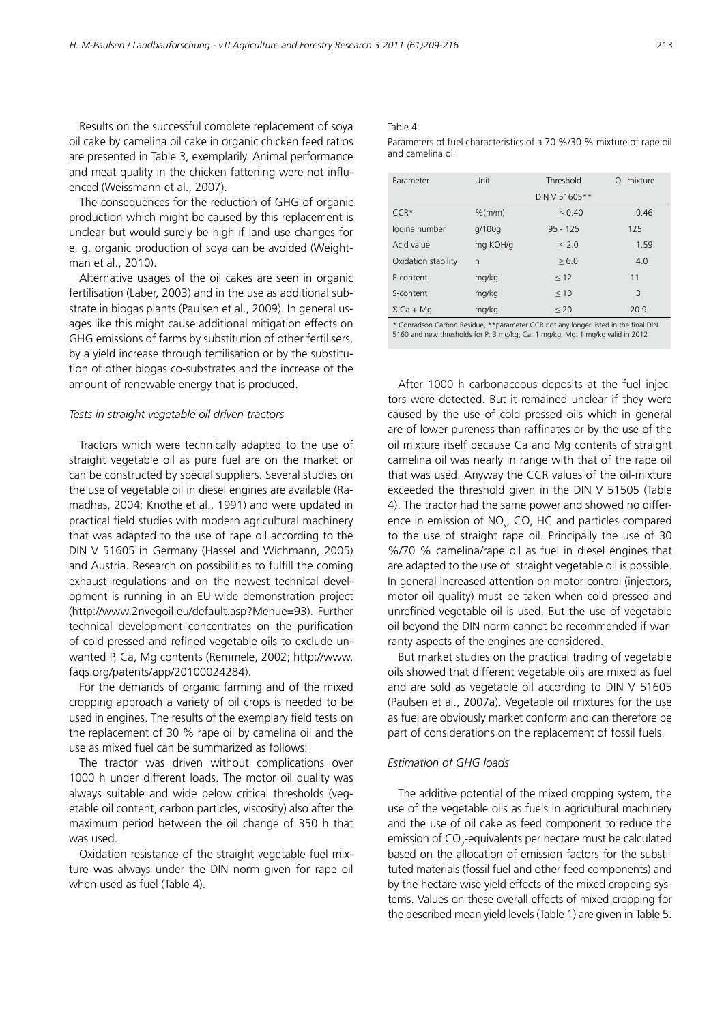Results on the successful complete replacement of soya oil cake by camelina oil cake in organic chicken feed ratios are presented in Table 3, exemplarily. Animal performance and meat quality in the chicken fattening were not influenced (Weissmann et al., 2007).

The consequences for the reduction of GHG of organic production which might be caused by this replacement is unclear but would surely be high if land use changes for e. g. organic production of soya can be avoided (Weightman et al., 2010).

Alternative usages of the oil cakes are seen in organic fertilisation (Laber, 2003) and in the use as additional substrate in biogas plants (Paulsen et al., 2009). In general usages like this might cause additional mitigation effects on GHG emissions of farms by substitution of other fertilisers, by a yield increase through fertilisation or by the substitution of other biogas co-substrates and the increase of the amount of renewable energy that is produced.

#### *Tests in straight vegetable oil driven tractors*

Tractors which were technically adapted to the use of straight vegetable oil as pure fuel are on the market or can be constructed by special suppliers. Several studies on the use of vegetable oil in diesel engines are available (Ramadhas, 2004; Knothe et al., 1991) and were updated in practical field studies with modern agricultural machinery that was adapted to the use of rape oil according to the DIN V 51605 in Germany (Hassel and Wichmann, 2005) and Austria. Research on possibilities to fulfill the coming exhaust regulations and on the newest technical development is running in an EU-wide demonstration project [\(http://www.2nvegoil.eu/default.asp?Menue=93\).](http://www.2nvegoil.eu/default.asp?Menue=93) Further technical development concentrates on the purification of cold pressed and refined vegetable oils to exclude unwanted P, Ca, Mg contents (Remmele, 2002; [http://www.](http://www.faqs.org/patents/app/20100024284) [faqs.org/patents/app/20100024284\).](http://www.faqs.org/patents/app/20100024284)

For the demands of organic farming and of the mixed cropping approach a variety of oil crops is needed to be used in engines. The results of the exemplary field tests on the replacement of 30 % rape oil by camelina oil and the use as mixed fuel can be summarized as follows:

The tractor was driven without complications over 1000 h under different loads. The motor oil quality was always suitable and wide below critical thresholds (vegetable oil content, carbon particles, viscosity) also after the maximum period between the oil change of 350 h that was used.

Oxidation resistance of the straight vegetable fuel mixture was always under the DIN norm given for rape oil when used as fuel (Table 4).

## Table  $4$ :

Parameters of fuel characteristics of a 70 %/30 % mixture of rape oil and camelina oil

| Parameter                               | Unit      | Threshold     | Oil mixture |  |  |  |
|-----------------------------------------|-----------|---------------|-------------|--|--|--|
|                                         |           | DIN V 51605** |             |  |  |  |
| $CCR*$                                  | $%$ (m/m) | ${}< 0.40$    | 0.46        |  |  |  |
| lodine number                           | g/100g    | $95 - 125$    | 125         |  |  |  |
| Acid value                              | mg KOH/g  | < 2.0         | 1.59        |  |  |  |
| Oxidation stability                     | h         | > 6.0         | 4.0         |  |  |  |
| P-content                               | mg/kg     | < 12          | 11          |  |  |  |
| S-content                               | mg/kg     | < 10          | 3           |  |  |  |
| $\Sigma$ Ca + Mg                        | mg/kg     | $\leq 20$     | 20.9        |  |  |  |
| the contract of the contract of<br>---- |           |               |             |  |  |  |

Conradson Carbon Residue, \*\*parameter CCR not any longer listed in the final DIN 5160 and new thresholds for P: 3 mg/kg, Ca: 1 mg/kg, Mg: 1 mg/kg valid in 2012

After 1000 h carbonaceous deposits at the fuel injectors were detected. But it remained unclear if they were caused by the use of cold pressed oils which in general are of lower pureness than raffinates or by the use of the oil mixture itself because Ca and Mg contents of straight camelina oil was nearly in range with that of the rape oil that was used. Anyway the CCR values of the oil-mixture exceeded the threshold given in the DIN V 51505 (Table 4). The tractor had the same power and showed no difference in emission of  $NO<sub>x</sub>$ , CO, HC and particles compared to the use of straight rape oil. Principally the use of 30 %/70 % camelina*/*rape oil as fuel in diesel engines that are adapted to the use of straight vegetable oil is possible. In general increased attention on motor control (injectors, motor oil quality) must be taken when cold pressed and unrefined vegetable oil is used. But the use of vegetable oil beyond the DIN norm cannot be recommended if warranty aspects of the engines are considered.

But market studies on the practical trading of vegetable oils showed that different vegetable oils are mixed as fuel and are sold as vegetable oil according to DIN V 51605 (Paulsen et al., 2007a). Vegetable oil mixtures for the use as fuel are obviously market conform and can therefore be part of considerations on the replacement of fossil fuels.

### *Estimation of GHG loads*

The additive potential of the mixed cropping system, the use of the vegetable oils as fuels in agricultural machinery and the use of oil cake as feed component to reduce the emission of CO<sub>2</sub>-equivalents per hectare must be calculated based on the allocation of emission factors for the substituted materials (fossil fuel and other feed components) and by the hectare wise yield effects of the mixed cropping systems. Values on these overall effects of mixed cropping for the described mean yield levels (Table 1) are given in Table 5.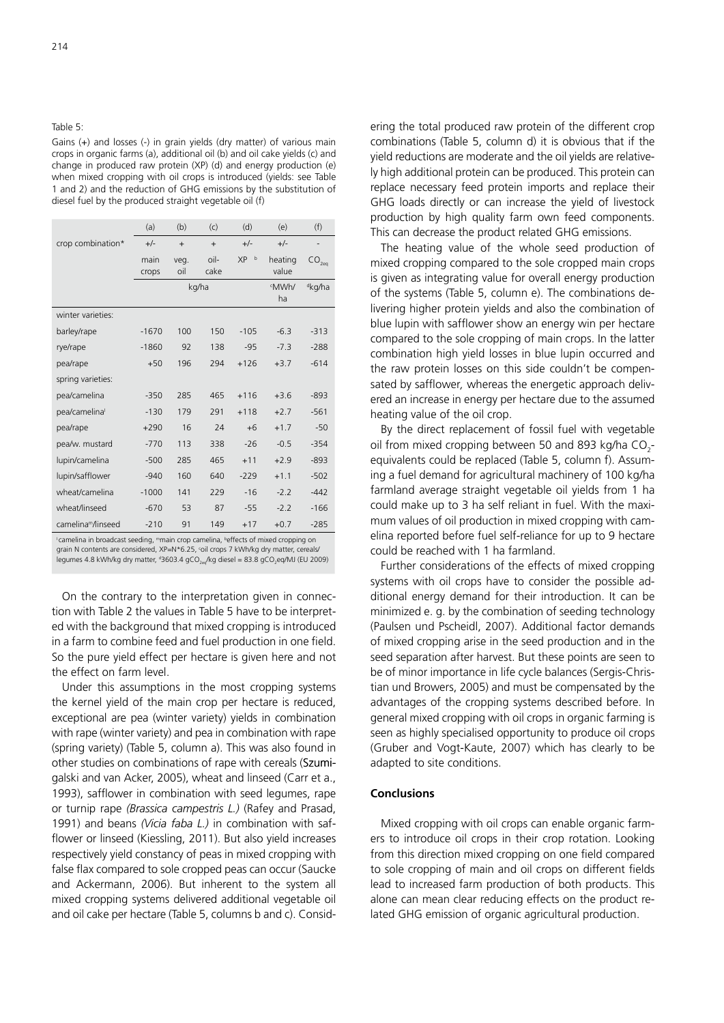### Table 5:

Gains (+) and losses (-) in grain yields (dry matter) of various main crops in organic farms (a), additional oil (b) and oil cake yields (c) and change in produced raw protein (XP) (d) and energy production (e) when mixed cropping with oil crops is introduced (yields: see Table 1 and 2) and the reduction of GHG emissions by the substitution of diesel fuel by the produced straight vegetable oil (f)

|                                | (a)           | (b)         | (c)          | (d)            | (e)               | (f)                |
|--------------------------------|---------------|-------------|--------------|----------------|-------------------|--------------------|
| crop combination*              | $+/-$         | $+$         | $+$          | $+/-$          | $+/-$             |                    |
|                                | main<br>crops | veg.<br>oil | oil-<br>cake | <b>XP</b><br>b | heating<br>value  | CO <sub>2eq</sub>  |
|                                |               |             | kg/ha        |                | <b>MWh/</b><br>ha | <sup>d</sup> kg/ha |
| winter varieties:              |               |             |              |                |                   |                    |
| barley/rape                    | $-1670$       | 100         | 150          | $-105$         | $-6.3$            | $-313$             |
| rye/rape                       | $-1860$       | 92          | 138          | $-95$          | $-7.3$            | $-288$             |
| pea/rape                       | $+50$         | 196         | 294          | $+126$         | $+3.7$            | $-614$             |
| spring varieties:              |               |             |              |                |                   |                    |
| pea/camelina                   | $-350$        | 285         | 465          | $+116$         | $+3.6$            | $-893$             |
| pea/camelinal                  | $-130$        | 179         | 291          | $+118$         | $+2.7$            | $-561$             |
| pea/rape                       | $+290$        | 16          | 24           | $+6$           | $+1.7$            | $-50$              |
| pea/w. mustard                 | $-770$        | 113         | 338          | $-26$          | $-0.5$            | $-354$             |
| lupin/camelina                 | $-500$        | 285         | 465          | $+11$          | $+2.9$            | $-893$             |
| lupin/safflower                | $-940$        | 160         | 640          | $-229$         | $+1.1$            | $-502$             |
| wheat/camelina                 | $-1000$       | 141         | 229          | $-16$          | $-2.2$            | $-442$             |
| wheat/linseed                  | $-670$        | 53          | 87           | $-55$          | $-2.2$            | $-166$             |
| camelina <sup>m</sup> /linseed | $-210$        | 91          | 149          | $+17$          | $+0.7$            | $-285$             |

'camelina in broadcast seeding, ™main crop camelina, <sup>b</sup>effects of mixed cropping on<br>grain N contents are considered, XP=N\*6.25, °oil crops 7 kWh/kg dry matter, cereals/ legumes 4.8 kWh/kg dry matter, <sup>a</sup>3603.4 gCO<sub>2eq</sub>/kg diesel = 83.8 gCO<sub>2</sub>eq/MJ (EU 2009)

On the contrary to the interpretation given in connection with Table 2 the values in Table 5 have to be interpreted with the background that mixed cropping is introduced in a farm to combine feed and fuel production in one field. So the pure yield effect per hectare is given here and not the effect on farm level.

Under this assumptions in the most cropping systems the kernel yield of the main crop per hectare is reduced, exceptional are pea (winter variety) yields in combination with rape (winter variety) and pea in combination with rape (spring variety) (Table 5, column a). This was also found in other studies on combinations of rape with cereals (Szumigalski and van Acker, 2005), wheat and linseed (Carr et a., 1993), safflower in combination with seed legumes, rape or turnip rape *(Brassica campestris L.)* (Rafey and Prasad, 1991) and beans *(Vicia faba L.)* in combination with safflower or linseed (Kiessling, 2011). But also yield increases respectively yield constancy of peas in mixed cropping with false flax compared to sole cropped peas can occur (Saucke and Ackermann, 2006). But inherent to the system all mixed cropping systems delivered additional vegetable oil and oil cake per hectare (Table 5, columns b and c). Considering the total produced raw protein of the different crop combinations (Table 5, column d) it is obvious that if the yield reductions are moderate and the oil yields are relatively high additional protein can be produced. This protein can replace necessary feed protein imports and replace their GHG loads directly or can increase the yield of livestock production by high quality farm own feed components. This can decrease the product related GHG emissions.

The heating value of the whole seed production of mixed cropping compared to the sole cropped main crops is given as integrating value for overall energy production of the systems (Table 5, column e). The combinations delivering higher protein yields and also the combination of blue lupin with safflower show an energy win per hectare compared to the sole cropping of main crops. In the latter combination high yield losses in blue lupin occurred and the raw protein losses on this side couldn't be compensated by safflower*,* whereas the energetic approach delivered an increase in energy per hectare due to the assumed heating value of the oil crop.

By the direct replacement of fossil fuel with vegetable oil from mixed cropping between 50 and 893 kg/ha  $CO_2$ equivalents could be replaced (Table 5, column f). Assuming a fuel demand for agricultural machinery of 100 kg/ha farmland average straight vegetable oil yields from 1 ha could make up to 3 ha self reliant in fuel. With the maximum values of oil production in mixed cropping with camelina reported before fuel self-reliance for up to 9 hectare could be reached with 1 ha farmland.

Further considerations of the effects of mixed cropping systems with oil crops have to consider the possible additional energy demand for their introduction. It can be minimized e. g. by the combination of seeding technology (Paulsen und Pscheidl, 2007). Additional factor demands of mixed cropping arise in the seed production and in the seed separation after harvest. But these points are seen to be of minor importance in life cycle balances (Sergis-Christian und Browers, 2005) and must be compensated by the advantages of the cropping systems described before. In general mixed cropping with oil crops in organic farming is seen as highly specialised opportunity to produce oil crops (Gruber and Vogt-Kaute, 2007) which has clearly to be adapted to site conditions.

## **Conclusions**

Mixed cropping with oil crops can enable organic farmers to introduce oil crops in their crop rotation. Looking from this direction mixed cropping on one field compared to sole cropping of main and oil crops on different fields lead to increased farm production of both products. This alone can mean clear reducing effects on the product related GHG emission of organic agricultural production.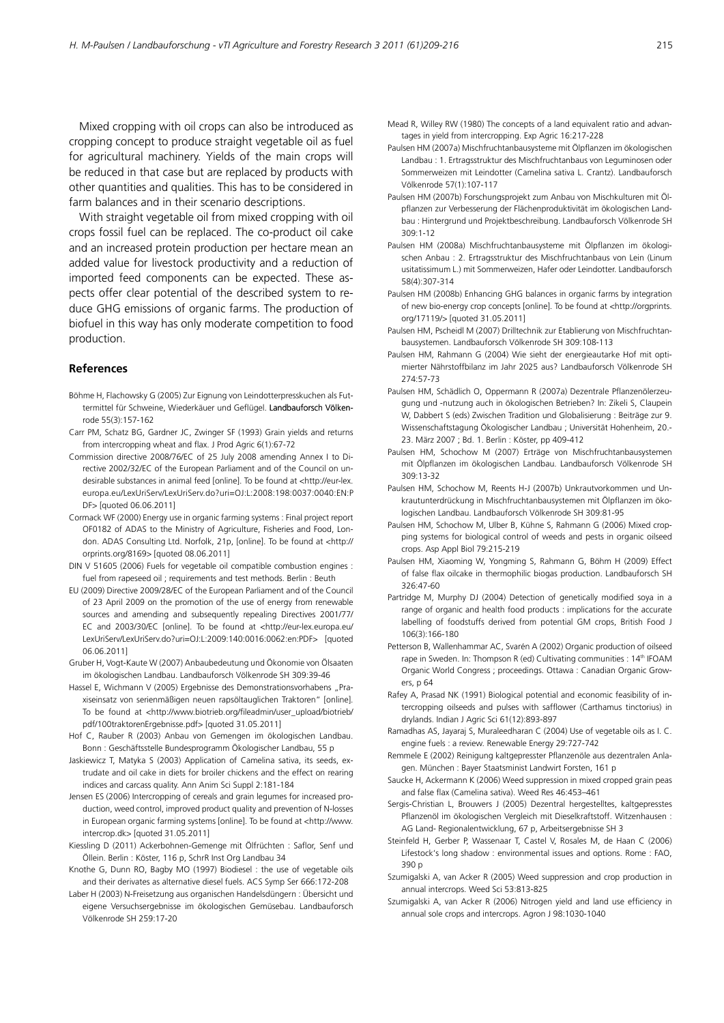Mixed cropping with oil crops can also be introduced as cropping concept to produce straight vegetable oil as fuel for agricultural machinery. Yields of the main crops will be reduced in that case but are replaced by products with other quantities and qualities. This has to be considered in farm balances and in their scenario descriptions.

With straight vegetable oil from mixed cropping with oil crops fossil fuel can be replaced. The co-product oil cake and an increased protein production per hectare mean an added value for livestock productivity and a reduction of imported feed components can be expected. These aspects offer clear potential of the described system to reduce GHG emissions of organic farms. The production of biofuel in this way has only moderate competition to food production.

### **References**

- Böhme H, Flachowsky G (2005) Zur Eignung von Leindotterpresskuchen als Futtermittel für Schweine, Wiederkäuer und Geflügel. Landbauforsch Völkenrode 55(3):157-162
- Carr PM, Schatz BG, Gardner JC, Zwinger SF (1993) Grain yields and returns from intercropping wheat and flax. J Prod Agric 6(1):67-72
- Commission directive 2008/76/EC of 25 July 2008 amending Annex I to Directive 2002/32/EC of the European Parliament and of the Council on undesirable substances in animal feed [online]. To be found at <[http://eur-lex.](http://eur-lex.europa.eu/LexUriServ/LexUriServ.do?uri=OJ:L:2008:198:0037:0040:EN:PDF) [europa.eu/LexUriServ/LexUriServ.do?uri=OJ:L:2008:198:0037:0040:EN:P](http://eur-lex.europa.eu/LexUriServ/LexUriServ.do?uri=OJ:L:2008:198:0037:0040:EN:PDF) DF> [quoted 06.06.2011]
- Cormack WF (2000) Energy use in organic farming systems : Final project report OF0182 of ADAS to the Ministry of Agriculture, Fisheries and Food, London. ADAS Consulting Ltd. Norfolk, 21p, [online]. To be found at [<http://](http://orprints.org/8169) [orprints.org/8169>](http://orprints.org/8169) [quoted 08.06.2011]
- DIN V 51605 (2006) Fuels for vegetable oil compatible combustion engines : fuel from rapeseed oil ; requirements and test methods. Berlin : Beuth
- EU (2009) Directive 2009/28/EC of the European Parliament and of the Council of 23 April 2009 on the promotion of the use of energy from renewable sources and amending and subsequently repealing Directives 2001/77/ EC and 2003/30/EC [online]. To be found at [<http://eur-lex.europa.eu/](http://eur-lex.europa.eu/LexUriServ/LexUriServ.do?uri=OJ:L:2009:140:0016:0062:en:PDF) [LexUriServ/LexUriServ.do?uri=OJ:L:2009:140:0016:0062:en:PDF>](http://eur-lex.europa.eu/LexUriServ/LexUriServ.do?uri=OJ:L:2009:140:0016:0062:en:PDF) [quoted 06.06.2011]
- Gruber H, Vogt-Kaute W (2007) Anbaubedeutung und Ökonomie von Ölsaaten im ökologischen Landbau. Landbauforsch Völkenrode SH 309:39-46
- Hassel E, Wichmann V (2005) Ergebnisse des Demonstrationsvorhabens "Praxiseinsatz von serienmäßigen neuen rapsöltauglichen Traktoren" [online]. To be found at [<http://www.biotrieb.org/fileadmin/user\\_upload/biotrieb/](http://www.biotrieb.org/fileadmin/user_upload/biotrieb/pdf/100traktorenErgebnisse.pdf) [pdf/100traktorenErgebnisse.pdf>](http://www.biotrieb.org/fileadmin/user_upload/biotrieb/pdf/100traktorenErgebnisse.pdf) [quoted 31.05.2011]
- Hof C, Rauber R (2003) Anbau von Gemengen im ökologischen Landbau. Bonn : Geschäftsstelle Bundesprogramm Ökologischer Landbau, 55 p
- Jaskiewicz T, Matyka S (2003) Application of Camelina sativa, its seeds, extrudate and oil cake in diets for broiler chickens and the effect on rearing indices and carcass quality. Ann Anim Sci Suppl 2:181-184
- Jensen ES (2006) Intercropping of cereals and grain legumes for increased production, weed control, improved product quality and prevention of N-losses in European organic farming systems [online]. To be found at [<http://www.](http://www.intercrop.dk) [intercrop.dk>](http://www.intercrop.dk) [quoted 31.05.2011]
- Kiessling D (2011) Ackerbohnen-Gemenge mit Ölfrüchten : Saflor, Senf und Öllein. Berlin : Köster, 116 p, SchrR Inst Org Landbau 34
- Knothe G, Dunn RO, Bagby MO (1997) Biodiesel : the use of vegetable oils and their derivates as alternative diesel fuels. ACS Symp Ser 666:172-208
- Laber H (2003) N-Freisetzung aus organischen Handelsdüngern : Übersicht und eigene Versuchsergebnisse im ökologischen Gemüsebau. Landbauforsch Völkenrode SH 259:17-20
- Mead R, Willey RW (1980) The concepts of a land equivalent ratio and advantages in yield from intercropping. Exp Agric 16:217-228
- Paulsen HM (2007a) Mischfruchtanbausysteme mit Ölpflanzen im ökologischen Landbau : 1. Ertragsstruktur des Mischfruchtanbaus von Leguminosen oder Sommerweizen mit Leindotter (Camelina sativa L. Crantz). Landbauforsch Völkenrode 57(1):107-117
- Paulsen HM (2007b) Forschungsprojekt zum Anbau von Mischkulturen mit Ölpflanzen zur Verbesserung der Flächenproduktivität im ökologischen Landbau : Hintergrund und Projektbeschreibung. Landbauforsch Völkenrode SH 309:1-12
- Paulsen HM (2008a) Mischfruchtanbausysteme mit Ölpflanzen im ökologischen Anbau : 2. Ertragsstruktur des Mischfruchtanbaus von Lein (Linum usitatissimum L.) mit Sommerweizen, Hafer oder Leindotter. Landbauforsch 58(4):307-314
- Paulsen HM (2008b) Enhancing GHG balances in organic farms by integration of new bio-energy crop concepts [online]. To be found at <[http://orgprints.](http://orgprints.org/17119/) [org/17119/>](http://orgprints.org/17119/) [quoted 31.05.2011]
- Paulsen HM, Pscheidl M (2007) Drilltechnik zur Etablierung von Mischfruchtanbausystemen. Landbauforsch Völkenrode SH 309:108-113
- Paulsen HM, Rahmann G (2004) Wie sieht der energieautarke Hof mit optimierter Nährstoffbilanz im Jahr 2025 aus? Landbauforsch Völkenrode SH 274:57-73
- Paulsen HM, Schädlich O, Oppermann R (2007a) Dezentrale Pflanzenölerzeugung und -nutzung auch in ökologischen Betrieben? In: Zikeli S, Claupein W, Dabbert S (eds) Zwischen Tradition und Globalisierung : Beiträge zur 9. Wissenschaftstagung Ökologischer Landbau ; Universität Hohenheim, 20.- 23. März 2007 ; Bd. 1. Berlin : Köster, pp 409-412
- Paulsen HM, Schochow M (2007) Erträge von Mischfruchtanbausystemen mit Ölpflanzen im ökologischen Landbau. Landbauforsch Völkenrode SH 309:13-32
- Paulsen HM, Schochow M, Reents H-J (2007b) Unkrautvorkommen und Unkrautunterdrückung in Mischfruchtanbausystemen mit Ölpflanzen im ökologischen Landbau. Landbauforsch Völkenrode SH 309:81-95
- Paulsen HM, Schochow M, Ulber B, Kühne S, Rahmann G (2006) Mixed cropping systems for biological control of weeds and pests in organic oilseed crops. Asp Appl Biol 79:215-219
- Paulsen HM, Xiaoming W, Yongming S, Rahmann G, Böhm H (2009) Effect of false flax oilcake in thermophilic biogas production. Landbauforsch SH 326:47-60
- Partridge M, Murphy DJ (2004) Detection of genetically modified soya in a range of organic and health food products : implications for the accurate labelling of foodstuffs derived from potential GM crops, British Food J 106(3):166-180
- Petterson B, Wallenhammar AC, Svarén A (2002) Organic production of oilseed rape in Sweden. In: Thompson R (ed) Cultivating communities : 14<sup>th</sup> IFOAM Organic World Congress ; proceedings. Ottawa : Canadian Organic Growers, p 64
- Rafey A, Prasad NK (1991) Biological potential and economic feasibility of intercropping oilseeds and pulses with safflower (Carthamus tinctorius) in drylands. Indian J Agric Sci 61(12):893-897
- Ramadhas AS, Jayaraj S, Muraleedharan C (2004) Use of vegetable oils as I. C. engine fuels : a review. Renewable Energy 29:727-742
- Remmele E (2002) Reinigung kaltgepresster Pflanzenöle aus dezentralen Anlagen. München : Bayer Staatsminist Landwirt Forsten, 161 p
- Saucke H, Ackermann K (2006) Weed suppression in mixed cropped grain peas and false flax (Camelina sativa). Weed Res 46:453–461
- Sergis-Christian L, Brouwers J (2005) Dezentral hergestelltes, kaltgepresstes Pflanzenöl im ökologischen Vergleich mit Dieselkraftstoff. Witzenhausen : AG Land- Regionalentwicklung, 67 p, Arbeitsergebnisse SH 3
- Steinfeld H, Gerber P, Wassenaar T, Castel V, Rosales M, de Haan C (2006) Lifestock's long shadow : environmental issues and options. Rome : FAO, 390 p
- Szumigalski A, van Acker R (2005) Weed suppression and crop production in annual intercrops. Weed Sci 53:813-825
- Szumigalski A, van Acker R (2006) Nitrogen yield and land use efficiency in annual sole crops and intercrops. Agron J 98:1030-1040